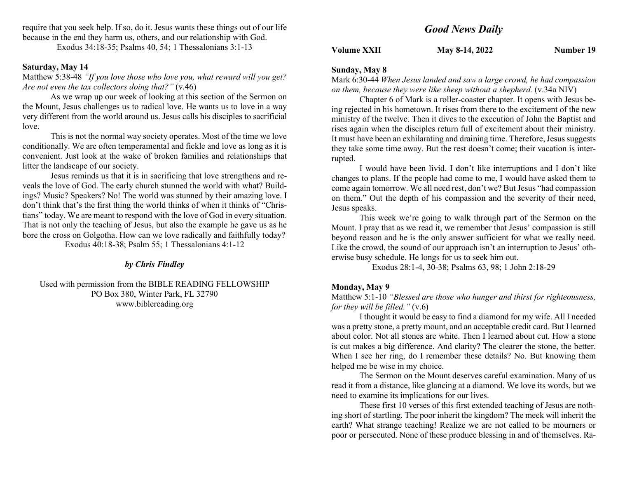require that you seek help. If so, do it. Jesus wants these things out of our life because in the end they harm us, others, and our relationship with God.

Exodus 34:18-35; Psalms 40, 54; 1 Thessalonians 3:1-13

### Saturday, May 14

Matthew 5:38-48 "If you love those who love you, what reward will you get? Are not even the tax collectors doing that?" (v.46)

As we wrap up our week of looking at this section of the Sermon on the Mount, Jesus challenges us to radical love. He wants us to love in a way very different from the world around us. Jesus calls his disciples to sacrificial love.

This is not the normal way society operates. Most of the time we love conditionally. We are often temperamental and fickle and love as long as it is convenient. Just look at the wake of broken families and relationships that litter the landscape of our society.

Jesus reminds us that it is in sacrificing that love strengthens and reveals the love of God. The early church stunned the world with what? Buildings? Music? Speakers? No! The world was stunned by their amazing love. I don't think that's the first thing the world thinks of when it thinks of "Christians" today. We are meant to respond with the love of God in every situation. That is not only the teaching of Jesus, but also the example he gave us as he bore the cross on Golgotha. How can we love radically and faithfully today?

Exodus 40:18-38; Psalm 55; 1 Thessalonians 4:1-12

### by Chris Findley

Used with permission from the BIBLE READING FELLOWSHIP PO Box 380, Winter Park, FL 32790 www.biblereading.org

# Good News Daily

Volume XXII May 8-14, 2022 Number 19

### Sunday, May 8

Mark 6:30-44 When Jesus landed and saw a large crowd, he had compassion on them, because they were like sheep without a shepherd. (v.34a NIV)

Chapter 6 of Mark is a roller-coaster chapter. It opens with Jesus being rejected in his hometown. It rises from there to the excitement of the new ministry of the twelve. Then it dives to the execution of John the Baptist and rises again when the disciples return full of excitement about their ministry. It must have been an exhilarating and draining time. Therefore, Jesus suggests they take some time away. But the rest doesn't come; their vacation is interrupted.

I would have been livid. I don't like interruptions and I don't like changes to plans. If the people had come to me, I would have asked them to come again tomorrow. We all need rest, don't we? But Jesus "had compassion on them." Out the depth of his compassion and the severity of their need, Jesus speaks.

This week we're going to walk through part of the Sermon on the Mount. I pray that as we read it, we remember that Jesus' compassion is still beyond reason and he is the only answer sufficient for what we really need. Like the crowd, the sound of our approach isn't an interruption to Jesus' otherwise busy schedule. He longs for us to seek him out.

Exodus 28:1-4, 30-38; Psalms 63, 98; 1 John 2:18-29

#### Monday, May 9

### Matthew 5:1-10 "Blessed are those who hunger and thirst for righteousness, for they will be filled."  $(v.6)$

I thought it would be easy to find a diamond for my wife. All I needed was a pretty stone, a pretty mount, and an acceptable credit card. But I learned about color. Not all stones are white. Then I learned about cut. How a stone is cut makes a big difference. And clarity? The clearer the stone, the better. When I see her ring, do I remember these details? No. But knowing them helped me be wise in my choice.

The Sermon on the Mount deserves careful examination. Many of us read it from a distance, like glancing at a diamond. We love its words, but we need to examine its implications for our lives.

These first 10 verses of this first extended teaching of Jesus are nothing short of startling. The poor inherit the kingdom? The meek will inherit the earth? What strange teaching! Realize we are not called to be mourners or poor or persecuted. None of these produce blessing in and of themselves. Ra